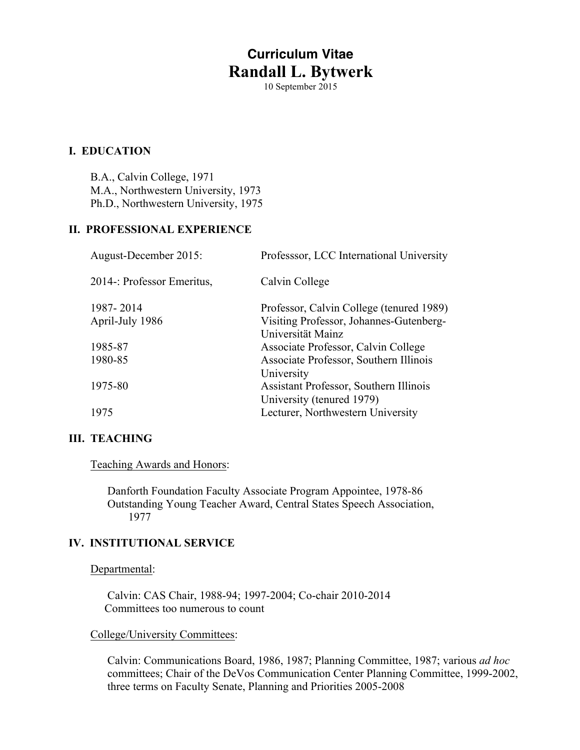# **Curriculum Vitae Randall L. Bytwerk**

10 September 2015

## **I. EDUCATION**

B.A., Calvin College, 1971 M.A., Northwestern University, 1973 Ph.D., Northwestern University, 1975

## **II. PROFESSIONAL EXPERIENCE**

| August-December 2015:      | Professsor, LCC International University                            |
|----------------------------|---------------------------------------------------------------------|
| 2014-: Professor Emeritus, | Calvin College                                                      |
| 1987-2014                  | Professor, Calvin College (tenured 1989)                            |
| April-July 1986            | Visiting Professor, Johannes-Gutenberg-<br>Universität Mainz        |
| 1985-87                    | Associate Professor, Calvin College                                 |
| 1980-85                    | Associate Professor, Southern Illinois<br>University                |
| 1975-80                    | Assistant Professor, Southern Illinois<br>University (tenured 1979) |
| 1975                       | Lecturer, Northwestern University                                   |

## **III. TEACHING**

Teaching Awards and Honors:

Danforth Foundation Faculty Associate Program Appointee, 1978-86 Outstanding Young Teacher Award, Central States Speech Association, 1977

#### **IV. INSTITUTIONAL SERVICE**

#### Departmental:

Calvin: CAS Chair, 1988-94; 1997-2004; Co-chair 2010-2014 Committees too numerous to count

#### College/University Committees:

Calvin: Communications Board, 1986, 1987; Planning Committee, 1987; various *ad hoc*  committees; Chair of the DeVos Communication Center Planning Committee, 1999-2002, three terms on Faculty Senate, Planning and Priorities 2005-2008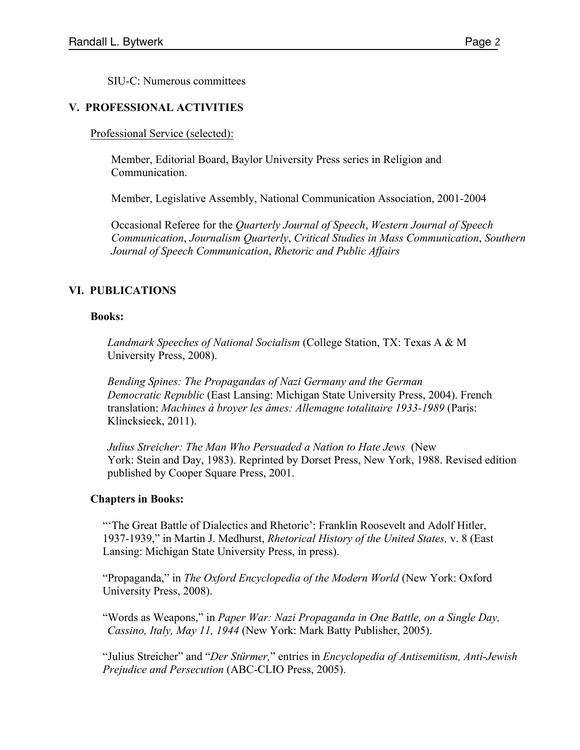SIU-C: Numerous committees

#### **V. PROFESSIONAL ACTIVITIES**

Professional Service (selected):

Member, Editorial Board, Baylor University Press series in Religion and Communication.

Member, Legislative Assembly, National Communication Association, 2001-2004

Occasional Referee for the *Quarterly Journal of Speech*, *Western Journal of Speech Communication*, *Journalism Quarterly*, *Critical Studies in Mass Communication*, *Southern Journal of Speech Communication*, *Rhetoric and Public Affairs*

## **VI. PUBLICATIONS**

#### **Books:**

*Landmark Speeches of National Socialism* (College Station, TX: Texas A & M University Press, 2008).

*Bending Spines: The Propagandas of Nazi Germany and the German Democratic Republic* (East Lansing: Michigan State University Press, 2004). French translation: *Machines à broyer les âmes: Allemagne totalitaire 1933-1989* (Paris: Klincksieck, 2011).

*Julius Streicher: The Man Who Persuaded a Nation to Hate Jews* (New York: Stein and Day, 1983). Reprinted by Dorset Press, New York, 1988. Revised edition published by Cooper Square Press, 2001.

#### **Chapters in Books:**

"The Great Battle of Dialectics and Rhetoric': Franklin Roosevelt and Adolf Hitler, 1937-1939," in Martin J. Medhurst, *Rhetorical History of the United States,* v. 8 (East Lansing: Michigan State University Press, in press).

"Propaganda," in *The Oxford Encyclopedia of the Modern World* (New York: Oxford University Press, 2008).

"Words as Weapons," in *Paper War: Nazi Propaganda in One Battle, on a Single Day, Cassino, Italy, May 11, 1944* (New York: Mark Batty Publisher, 2005).

"Julius Streicher" and "*Der Stürmer,*" entries in *Encyclopedia of Antisemitism, Anti-Jewish Prejudice and Persecution* (ABC-CLIO Press, 2005).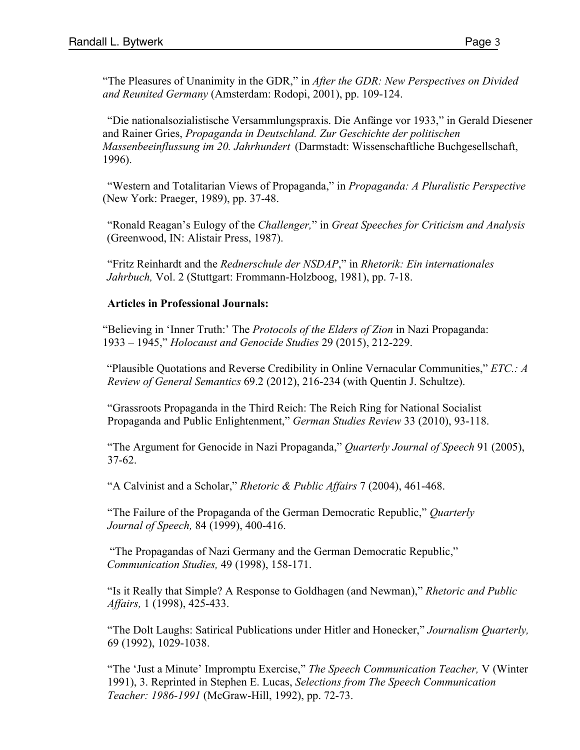"The Pleasures of Unanimity in the GDR," in *After the GDR: New Perspectives on Divided and Reunited Germany* (Amsterdam: Rodopi, 2001), pp. 109-124.

"Die nationalsozialistische Versammlungspraxis. Die Anfänge vor 1933," in Gerald Diesener and Rainer Gries, *Propaganda in Deutschland. Zur Geschichte der politischen Massenbeeinflussung im 20. Jahrhundert* (Darmstadt: Wissenschaftliche Buchgesellschaft, 1996).

"Western and Totalitarian Views of Propaganda," in *Propaganda: A Pluralistic Perspective* (New York: Praeger, 1989), pp. 37-48.

"Ronald Reagan's Eulogy of the *Challenger,*" in *Great Speeches for Criticism and Analysis*  (Greenwood, IN: Alistair Press, 1987).

"Fritz Reinhardt and the *Rednerschule der NSDAP*," in *Rhetorik: Ein internationales Jahrbuch,* Vol. 2 (Stuttgart: Frommann-Holzboog, 1981), pp. 7-18.

## **Articles in Professional Journals:**

"Believing in 'Inner Truth:' The *Protocols of the Elders of Zion* in Nazi Propaganda: 1933 – 1945," *Holocaust and Genocide Studies* 29 (2015), 212-229.

"Plausible Quotations and Reverse Credibility in Online Vernacular Communities," *ETC.: A Review of General Semantics* 69.2 (2012), 216-234 (with Quentin J. Schultze).

"Grassroots Propaganda in the Third Reich: The Reich Ring for National Socialist Propaganda and Public Enlightenment," *German Studies Review* 33 (2010), 93-118.

"The Argument for Genocide in Nazi Propaganda," *Quarterly Journal of Speech* 91 (2005), 37-62.

"A Calvinist and a Scholar," *Rhetoric & Public Affairs* 7 (2004), 461-468.

"The Failure of the Propaganda of the German Democratic Republic," *Quarterly Journal of Speech,* 84 (1999), 400-416.

"The Propagandas of Nazi Germany and the German Democratic Republic," *Communication Studies,* 49 (1998), 158-171.

"Is it Really that Simple? A Response to Goldhagen (and Newman)," *Rhetoric and Public Affairs,* 1 (1998), 425-433.

"The Dolt Laughs: Satirical Publications under Hitler and Honecker," *Journalism Quarterly,*  69 (1992), 1029-1038.

"The 'Just a Minute' Impromptu Exercise," *The Speech Communication Teacher,* V (Winter 1991), 3. Reprinted in Stephen E. Lucas, *Selections from The Speech Communication Teacher: 1986-1991* (McGraw-Hill, 1992), pp. 72-73.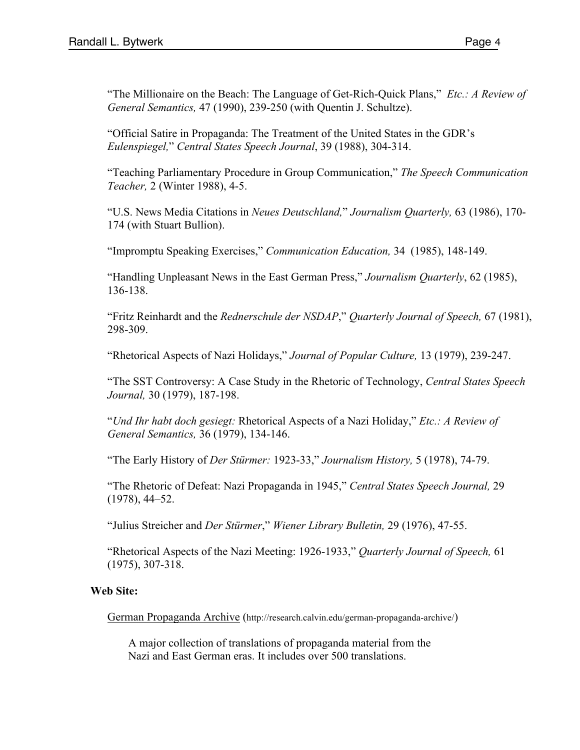"The Millionaire on the Beach: The Language of Get-Rich-Quick Plans," *Etc.: A Review of General Semantics,* 47 (1990), 239-250 (with Quentin J. Schultze).

"Official Satire in Propaganda: The Treatment of the United States in the GDR's *Eulenspiegel,*" *Central States Speech Journal*, 39 (1988), 304-314.

"Teaching Parliamentary Procedure in Group Communication," *The Speech Communication Teacher,* 2 (Winter 1988), 4-5.

"U.S. News Media Citations in *Neues Deutschland,*" *Journalism Quarterly,* 63 (1986), 170- 174 (with Stuart Bullion).

"Impromptu Speaking Exercises," *Communication Education,* 34 (1985), 148-149.

"Handling Unpleasant News in the East German Press," *Journalism Quarterly*, 62 (1985), 136-138.

"Fritz Reinhardt and the *Rednerschule der NSDAP*," *Quarterly Journal of Speech,* 67 (1981), 298-309.

"Rhetorical Aspects of Nazi Holidays," *Journal of Popular Culture,* 13 (1979), 239-247.

"The SST Controversy: A Case Study in the Rhetoric of Technology, *Central States Speech Journal,* 30 (1979), 187-198.

"*Und Ihr habt doch gesiegt:* Rhetorical Aspects of a Nazi Holiday," *Etc.: A Review of General Semantics,* 36 (1979), 134-146.

"The Early History of *Der Stürmer:* 1923-33," *Journalism History,* 5 (1978), 74-79.

"The Rhetoric of Defeat: Nazi Propaganda in 1945," *Central States Speech Journal,* 29 (1978), 44–52.

"Julius Streicher and *Der Stürmer*," *Wiener Library Bulletin,* 29 (1976), 47-55.

"Rhetorical Aspects of the Nazi Meeting: 1926-1933," *Quarterly Journal of Speech,* 61 (1975), 307-318.

# **Web Site:**

German Propaganda Archive (http://research.calvin.edu/german-propaganda-archive/)

A major collection of translations of propaganda material from the Nazi and East German eras. It includes over 500 translations.